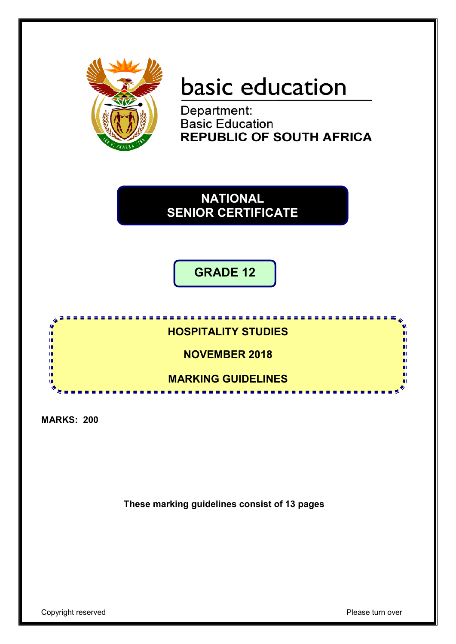

# basic education

Department: **Basic Education REPUBLIC OF SOUTH AFRICA** 

**SENIOR CERTIFICATE NATIONAL SENIOR CERTIFICATE**

**GRADE 12**



**MARKS: 200**

**These marking guidelines consist of 13 pages**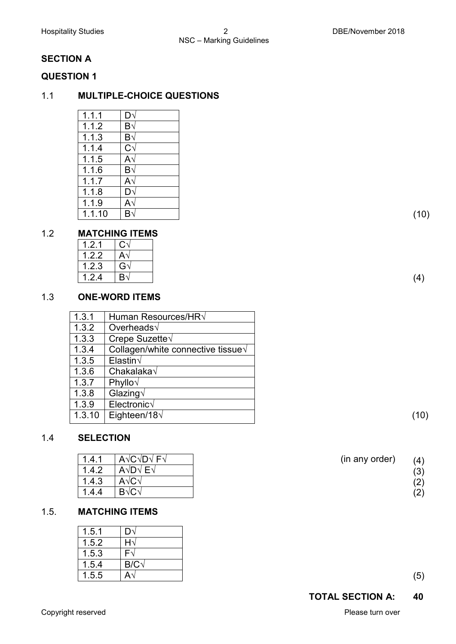### **SECTION A**

#### **QUESTION 1**

#### 1.1 **MULTIPLE-CHOICE QUESTIONS**

| 1.1.1  | D١                  |
|--------|---------------------|
| 1.1.2  | $\mathsf{B}\sqrt{}$ |
| 1.1.3  | $\mathsf{B}\sqrt{}$ |
| 1.1.4  | Cv                  |
| 1.1.5  | $\mathsf{A}\sqrt{}$ |
| 1.1.6  | $\mathsf{B}\sqrt{}$ |
| 1.1.7  | $\mathsf{A}\sqrt{}$ |
| 1.1.8  | D٧                  |
| 1.1.9  | $\mathsf{A}\sqrt{}$ |
| 1.1.10 | $\mathsf{B}\sqrt{}$ |
|        |                     |

#### 1.2 **MATCHING ITEMS**

| $\vert 1.2.1 \vert$ C $\sqrt$      |                |
|------------------------------------|----------------|
| $\vert$ 1.2.2 $\vert$ A $\sqrt{ }$ |                |
| $\vert 1.2.3 \vert$ G $\sqrt$      |                |
| 1.2.4                              | B <sub>1</sub> |

#### 1.3 **ONE-WORD ITEMS**

| 1.3.1  | Human Resources/HRV                |
|--------|------------------------------------|
| 1.3.2  | Overheads $\sqrt$                  |
| 1.3.3  | Crepe Suzette $\sqrt$              |
| 1.3.4  | Collagen/white connective tissue V |
| 1.3.5  | Elastin $\sqrt$                    |
| 1.3.6  | Chakalaka $\sqrt$                  |
| 1.3.7  | Phyllo $\sqrt$                     |
| 1.3.8  | Glazing $\sqrt$                    |
| 1.3.9  | $Electronic\sqrt$                  |
| 1.3.10 | Eighteen/18 $\sqrt$                |
|        |                                    |

#### 1.4 **SELECTION**

| 1.4.1 | A $\vee$ C $\vee$ D $\vee$ F $\vee$ | (in any order) | (4)                      |
|-------|-------------------------------------|----------------|--------------------------|
| 1.4.2 | A√D√ E√                             |                | (3)                      |
| l.4.3 | A√(                                 |                | $\left( 2\right)$        |
| . 4.4 |                                     |                | د ۱<br>$\left( 2\right)$ |

#### 1.5. **MATCHING ITEMS**

| 1.5.1 |            |
|-------|------------|
| 1.5.2 |            |
| 1.5.3 | -          |
| 1.5.4 | $D/\Omega$ |
| 1.5.5 |            |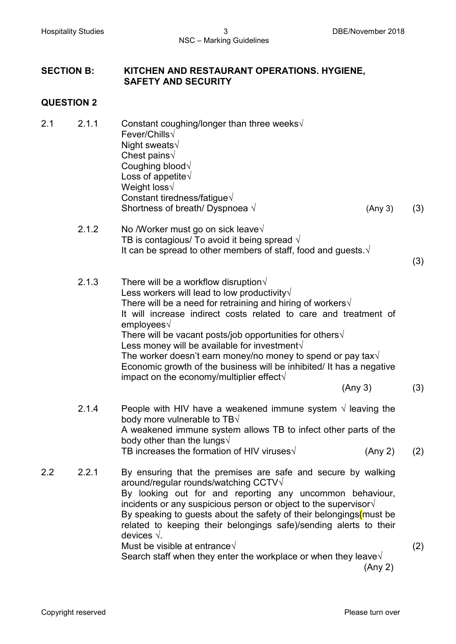#### **SECTION B: KITCHEN AND RESTAURANT OPERATIONS. HYGIENE, SAFETY AND SECURITY**

#### **QUESTION 2**

| 2.1 | 2.1.1 | Constant coughing/longer than three weeks $\sqrt{ }$<br>Fever/Chills $\sqrt$<br>Night sweats $\sqrt$<br>Chest pains $\sqrt{ }$<br>Coughing blood V<br>Loss of appetite $\sqrt{ }$<br>Weight loss $\sqrt$<br>Constant tiredness/fatigue $\sqrt{ }$<br>Shortness of breath/ Dyspnoea $\sqrt{ }$<br>(Any 3)                                                                                                                                                                                                                                                                                                                   | (3) |
|-----|-------|----------------------------------------------------------------------------------------------------------------------------------------------------------------------------------------------------------------------------------------------------------------------------------------------------------------------------------------------------------------------------------------------------------------------------------------------------------------------------------------------------------------------------------------------------------------------------------------------------------------------------|-----|
|     | 2.1.2 | No /Worker must go on sick leave√<br>TB is contagious/ To avoid it being spread $\sqrt{ }$<br>It can be spread to other members of staff, food and guests. $\sqrt{ }$                                                                                                                                                                                                                                                                                                                                                                                                                                                      | (3) |
|     | 2.1.3 | There will be a workflow disruption $\sqrt{ }$<br>Less workers will lead to low productivity $\sqrt{ }$<br>There will be a need for retraining and hiring of workers $\sqrt{ }$<br>It will increase indirect costs related to care and treatment of<br>employees $\sqrt$<br>There will be vacant posts/job opportunities for others $\sqrt{ }$<br>Less money will be available for investment $\sqrt{ }$<br>The worker doesn't earn money/no money to spend or pay tax $\sqrt{ }$<br>Economic growth of the business will be inhibited/ It has a negative<br>impact on the economy/multiplier effect $\sqrt{ }$<br>(Any 3) | (3) |
|     | 2.1.4 | People with HIV have a weakened immune system $\sqrt{ }$ leaving the<br>body more vulnerable to TB $\sqrt{}$<br>A weakened immune system allows TB to infect other parts of the<br>body other than the lungs $\sqrt$<br>TB increases the formation of HIV viruses $\sqrt{ }$<br>(Any 2)                                                                                                                                                                                                                                                                                                                                    | (2) |
| 2.2 | 2.2.1 | By ensuring that the premises are safe and secure by walking<br>around/regular rounds/watching CCTV $\sqrt{}$<br>By looking out for and reporting any uncommon behaviour,<br>incidents or any suspicious person or object to the supervisor $\sqrt{ }$<br>By speaking to guests about the safety of their belongings (must be<br>related to keeping their belongings safe)/sending alerts to their<br>devices $\sqrt{ }$ .                                                                                                                                                                                                 |     |
|     |       | Must be visible at entrance $\sqrt{ }$<br>Search staff when they enter the workplace or when they leave $\sqrt{ }$<br>(Any 2)                                                                                                                                                                                                                                                                                                                                                                                                                                                                                              | (2) |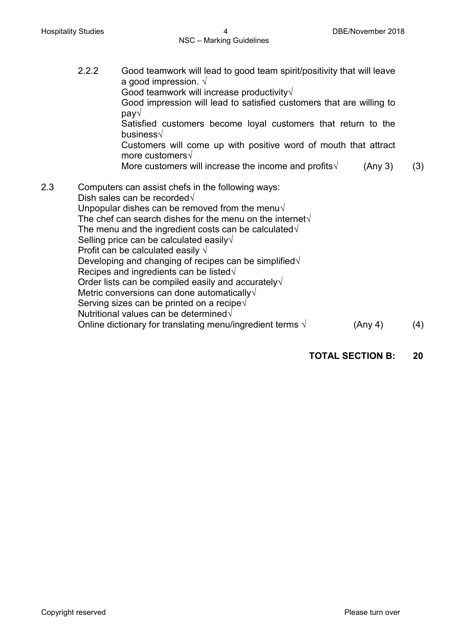2.2.2 Good teamwork will lead to good team spirit/positivity that will leave a good impression.  $\sqrt{ }$ Good teamwork will increase productivity√ Good impression will lead to satisfied customers that are willing to pay√ Satisfied customers become loyal customers that return to the business√ Customers will come up with positive word of mouth that attract more customers√ More customers will increase the income and profits $\sqrt{(A_{\text{IV}}-3)}$  (3) 2.3 Computers can assist chefs in the following ways: Dish sales can be recorded√ Unpopular dishes can be removed from the menu $\sqrt{ }$ The chef can search dishes for the menu on the internet√ The menu and the ingredient costs can be calculated $\sqrt{ }$ Selling price can be calculated easily√ Profit can be calculated easily  $\sqrt{ }$ Developing and changing of recipes can be simplified√ Recipes and ingredients can be listed√ Order lists can be compiled easily and accurately√ Metric conversions can done automatically√ Serving sizes can be printed on a recipe√ Nutritional values can be determined√ Online dictionary for translating menu/ingredient terms  $\sqrt{(A_1 \cdot A_2)(A_3 \cdot A_4)}$ 

#### **TOTAL SECTION B: 20**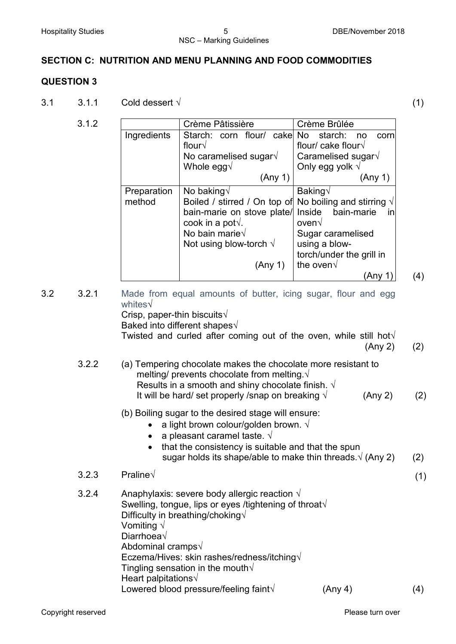#### **SECTION C: NUTRITION AND MENU PLANNING AND FOOD COMMODITIES**

#### **QUESTION 3**

 $3.1$  3.1.1 Cold dessert √ (1)

|             | Crème Pâtissière                                                | Crème Brûlée                 |
|-------------|-----------------------------------------------------------------|------------------------------|
| Ingredients | Starch: corn flour/ cake                                        | No.<br>starch:<br>corn<br>no |
|             | flour√                                                          | flour/ cake flour $\sqrt{ }$ |
|             | No caramelised sugar \                                          | Caramelised sugar $\sqrt{ }$ |
|             | Whole egg $\sqrt$                                               | Only egg yolk $\sqrt{ }$     |
|             | (Any 1)                                                         | (Any 1)                      |
| Preparation | No baking $\sqrt{}$                                             | Baking√                      |
| method      | Boiled / stirred / On top of No boiling and stirring $\sqrt{ }$ |                              |
|             | bain-marie on stove plate/                                      | bain-marie<br>Inside<br>in   |
|             | cook in a pot $\sqrt{ }$ .                                      | oven√                        |
|             | No bain marie $\sqrt{}$                                         | Sugar caramelised            |
|             | Not using blow-torch $\sqrt{}$                                  | using a blow-                |
|             |                                                                 | torch/under the grill in     |
|             | (Any 1)                                                         | the oven $\sqrt{ }$          |
|             |                                                                 | (Any 1)                      |

3.2 3.2.1 Made from equal amounts of butter, icing sugar, flour and egg whites√ Crisp, paper-thin biscuits√ Baked into different shapes√ Twisted and curled after coming out of the oven, while still hot $\sqrt{ }$  (Any 2) (2) 3.2.2 (a) Tempering chocolate makes the chocolate more resistant to melting/ prevents chocolate from melting.√ Results in a smooth and shiny chocolate finish.  $\sqrt{ }$ It will be hard/ set properly /snap on breaking  $\sqrt{(A_1 + A_2)^2 + (A_3 + A_4)^2}$  (2) (b) Boiling sugar to the desired stage will ensure: • a light brown colour/golden brown.  $\sqrt{ }$ • a pleasant caramel taste.  $\sqrt{ }$ • that the consistency is suitable and that the spun sugar holds its shape/able to make thin threads. $\sqrt{(Any 2)}$  (2)  $3.2.3$  Praline√ (1) 3.2.4 Anaphylaxis: severe body allergic reaction  $\sqrt{ }$ Swelling, tongue, lips or eyes /tightening of throat√ Difficulty in breathing/choking√ Vomiting √ Diarrhoea√ Abdominal cramps√ Eczema/Hives: skin rashes/redness/itching√ Tingling sensation in the mouth $\sqrt{ }$ Heart palpitations√ Lowered blood pressure/feeling faint√ (Any 4) (4)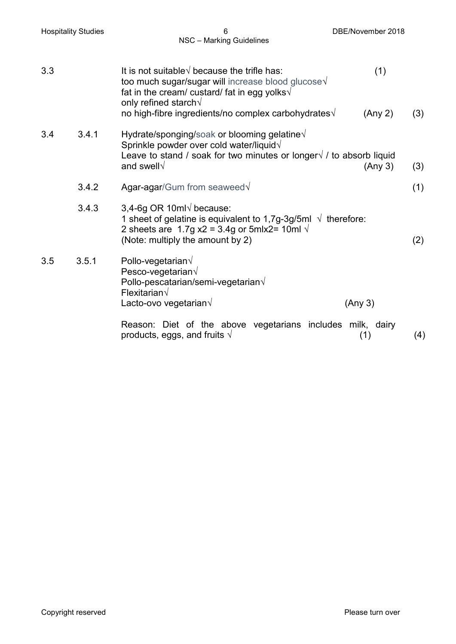| <b>Hospitality Studies</b> | 6<br>NSC - Marking Guidelines                                                                                                                                                                             | DBE/November 2018 |     |
|----------------------------|-----------------------------------------------------------------------------------------------------------------------------------------------------------------------------------------------------------|-------------------|-----|
| 3.3                        | It is not suitable $\sqrt{ }$ because the trifle has:<br>too much sugar/sugar will increase blood glucose V<br>fat in the cream/ custard/ fat in egg yolks√<br>only refined starch $\sqrt{}$              | (1)               |     |
|                            | no high-fibre ingredients/no complex carbohydrates $\sqrt{ }$                                                                                                                                             | (Any 2)           | (3) |
| 3.4<br>3.4.1               | Hydrate/sponging/soak or blooming gelatine $\sqrt{ }$<br>Sprinkle powder over cold water/liquid√<br>Leave to stand / soak for two minutes or longer $\sqrt{ }$ / to absorb liquid<br>and swell $\sqrt$    | (Any 3)           | (3) |
| 3.4.2                      | Agar-agar/Gum from seaweed V                                                                                                                                                                              |                   | (1) |
| 3.4.3                      | 3,4-6g OR 10ml $\sqrt$ because:<br>1 sheet of gelatine is equivalent to 1,7g-3g/5ml $\sqrt{ }$ therefore:<br>2 sheets are 1.7g $x^2 = 3.4g$ or 5mlx2= 10ml $\sqrt{ }$<br>(Note: multiply the amount by 2) |                   | (2) |
| 3.5<br>3.5.1               | Pollo-vegetarian $\sqrt$<br>Pesco-vegetarian $\sqrt{ }$<br>Pollo-pescatarian/semi-vegetarian $\sqrt{ }$<br>Flexitarian $\sqrt$                                                                            |                   |     |
|                            | Lacto-ovo vegetarian $\sqrt$                                                                                                                                                                              | (Any 3)           |     |
|                            | Reason: Diet of the above vegetarians includes milk, dairy<br>products, eggs, and fruits $\sqrt{ }$                                                                                                       | (1)               | (4) |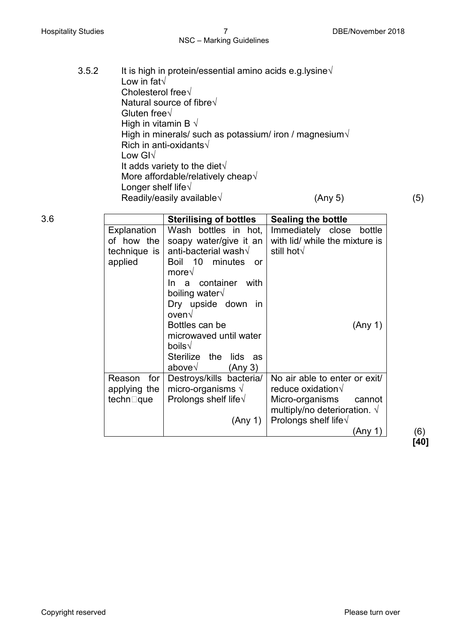# NSC – Marking Guidelines

| 3.5.2 | Low in fat $\sqrt{}$<br>Cholesterol free $\sqrt$<br>Natural source of fibre√<br>Gluten free $\sqrt$<br>High in vitamin B $\sqrt{ }$<br>Rich in anti-oxidants√<br>Low $GI\sqrt{}$<br>It adds variety to the diet $\sqrt{ }$<br>More affordable/relatively cheap $\sqrt$<br>Longer shelf life $\sqrt{ }$<br>Readily/easily available $\sqrt{ }$ |        |                               |                | It is high in protein/essential amino acids e.g.lysine $\sqrt{ }$<br>High in minerals/ such as potassium/ iron / magnesium $\sqrt{ }$ | (Any 5) |        | (5) |
|-------|-----------------------------------------------------------------------------------------------------------------------------------------------------------------------------------------------------------------------------------------------------------------------------------------------------------------------------------------------|--------|-------------------------------|----------------|---------------------------------------------------------------------------------------------------------------------------------------|---------|--------|-----|
| 3.6   |                                                                                                                                                                                                                                                                                                                                               |        | <b>Sterilising of bottles</b> |                | <b>Sealing the bottle</b>                                                                                                             |         |        |     |
|       | Explanation                                                                                                                                                                                                                                                                                                                                   | Wash l |                               | hottles in hot | Immediately close                                                                                                                     |         | hottle |     |

|               | <b>Sterilising of bottles</b>  | <b>Sealing the bottle</b>            |            |
|---------------|--------------------------------|--------------------------------------|------------|
| Explanation   | Wash bottles in hot,           | Immediately close<br>bottle          |            |
| of how the    | soapy water/give it an         | with lid/ while the mixture is       |            |
| technique is  | anti-bacterial wash $\sqrt$    | still hot $\sqrt{ }$                 |            |
| applied       | Boil 10 minutes<br><b>or</b>   |                                      |            |
|               | more $\sqrt{ }$                |                                      |            |
|               | container<br>with<br>In a      |                                      |            |
|               | boiling water√                 |                                      |            |
|               | Dry upside down in             |                                      |            |
|               | oven√                          |                                      |            |
|               | Bottles can be                 | (Any 1)                              |            |
|               | microwaved until water         |                                      |            |
|               | boils $\sqrt{}$                |                                      |            |
|               | Sterilize the<br>lids as       |                                      |            |
|               | above√<br>(Any 3)              |                                      |            |
| Reason<br>for | Destroys/kills bacteria/       | No air able to enter or exit/        |            |
| applying the  | micro-organisms $\sqrt{ }$     | reduce oxidation√                    |            |
| techn⊡que     | Prolongs shelf life $\sqrt{ }$ | Micro-organisms<br>cannot            |            |
|               |                                | multiply/no deterioration. $\sqrt{}$ |            |
|               | (Any 1)                        | Prolongs shelf life $\sqrt{ }$       |            |
|               |                                | (Any 1)                              | (6)<br>ГЛЛ |

**[40]**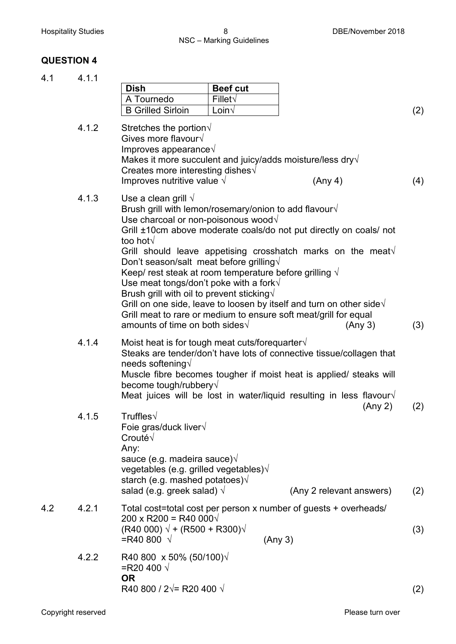#### **QUESTION 4**

4.1 4.1.1

|     |       | <b>Dish</b>                                                                                                                                                                                                                                                                                                                                                                                                                     | <b>Beef cut</b> |                                                                                                                                                                                                                                                                                                              |     |
|-----|-------|---------------------------------------------------------------------------------------------------------------------------------------------------------------------------------------------------------------------------------------------------------------------------------------------------------------------------------------------------------------------------------------------------------------------------------|-----------------|--------------------------------------------------------------------------------------------------------------------------------------------------------------------------------------------------------------------------------------------------------------------------------------------------------------|-----|
|     |       | A Tournedo                                                                                                                                                                                                                                                                                                                                                                                                                      | $Fillet\sqrt{}$ |                                                                                                                                                                                                                                                                                                              |     |
|     |       | <b>B Grilled Sirloin</b>                                                                                                                                                                                                                                                                                                                                                                                                        | Loin $\sqrt{ }$ |                                                                                                                                                                                                                                                                                                              | (2) |
|     | 4.1.2 | Stretches the portion $\sqrt$<br>Gives more flavour $\sqrt$<br>Improves appearance $\sqrt{ }$<br>Makes it more succulent and juicy/adds moisture/less dry $\sqrt{ }$<br>Creates more interesting dishes $\sqrt{ }$<br>Improves nutritive value $\sqrt{}$                                                                                                                                                                        |                 | (Any 4)                                                                                                                                                                                                                                                                                                      | (4) |
|     | 4.1.3 | Use a clean grill $\sqrt{ }$<br>Brush grill with lemon/rosemary/onion to add flavour $\sqrt{ }$<br>Use charcoal or non-poisonous wood $\sqrt{}$<br>too hot√<br>Don't season/salt meat before grilling $\sqrt{ }$<br>Keep/ rest steak at room temperature before grilling $\sqrt{ }$<br>Use meat tongs/don't poke with a fork $\sqrt{}$<br>Brush grill with oil to prevent sticking $\sqrt{ }$<br>amounts of time on both sides√ |                 | Grill ±10cm above moderate coals/do not put directly on coals/ not<br>Grill should leave appetising crosshatch marks on the meat $\sqrt{ }$<br>Grill on one side, leave to loosen by itself and turn on other side $\sqrt{ }$<br>Grill meat to rare or medium to ensure soft meat/grill for equal<br>(Any 3) | (3) |
|     | 4.1.4 | Moist heat is for tough meat cuts/forequarter $\sqrt{ }$<br>needs softening $\sqrt{}$<br>become tough/rubbery√                                                                                                                                                                                                                                                                                                                  |                 | Steaks are tender/don't have lots of connective tissue/collagen that<br>Muscle fibre becomes tougher if moist heat is applied/ steaks will<br>Meat juices will be lost in water/liquid resulting in less flavour $\sqrt{ }$<br>(Any 2)                                                                       | (2) |
|     | 4.1.5 | Truffles $\sqrt$<br>Foie gras/duck liver $\sqrt{ }$<br>Crouté√<br>Any:<br>sauce (e.g. madeira sauce) $\sqrt{ }$<br>vegetables (e.g. grilled vegetables)√<br>starch (e.g. mashed potatoes) $\sqrt{ }$<br>salad (e.g. greek salad) $\sqrt{ }$                                                                                                                                                                                     |                 | (Any 2 relevant answers)                                                                                                                                                                                                                                                                                     | (2) |
| 4.2 | 4.2.1 | 200 x R200 = R40 000 $\sqrt{ }$<br>$(R40 000) \sqrt{+ (R500 + R300)} \sqrt{+ (R500)^2}$<br>=R40 800 $\sqrt{ }$                                                                                                                                                                                                                                                                                                                  |                 | Total cost=total cost per person x number of guests + overheads/<br>(Any 3)                                                                                                                                                                                                                                  | (3) |
|     | 4.2.2 | R40 800 x 50% (50/100) $\sqrt$<br>=R20 400 $\sqrt{ }$<br><b>OR</b><br>R40 800 / 2 $\sqrt{=}$ R20 400 $\sqrt{}$                                                                                                                                                                                                                                                                                                                  |                 |                                                                                                                                                                                                                                                                                                              | (2) |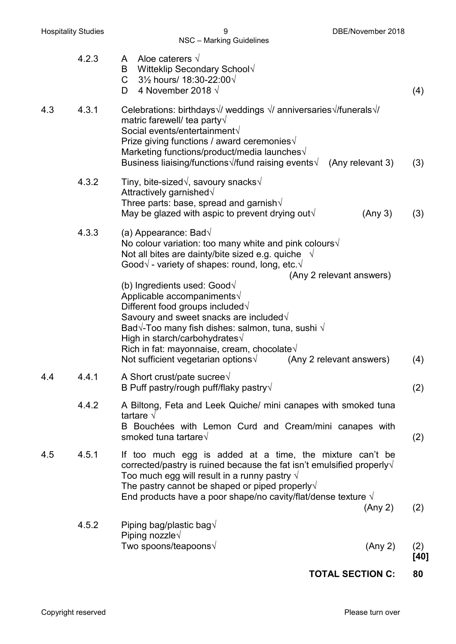|     | 4.2.3 | Aloe caterers $\sqrt{}$<br>A<br>B Witteklip Secondary School $\sqrt$<br>3½ hours/ 18:30-22:00√<br>$\mathsf{C}$<br>4 November 2018 $\sqrt{ }$<br>D.                                                                                                                                                                                                                                                                                                                                                                                                                                                                                                                                            | (4)         |
|-----|-------|-----------------------------------------------------------------------------------------------------------------------------------------------------------------------------------------------------------------------------------------------------------------------------------------------------------------------------------------------------------------------------------------------------------------------------------------------------------------------------------------------------------------------------------------------------------------------------------------------------------------------------------------------------------------------------------------------|-------------|
| 4.3 | 4.3.1 | Celebrations: birthdays $\sqrt{7}$ weddings $\sqrt{7}$ anniversaries $\sqrt{7}$ funerals $\sqrt{7}$<br>matric farewell/ tea party $\sqrt{}$<br>Social events/entertainment√<br>Prize giving functions / award ceremonies $\sqrt{ }$<br>Marketing functions/product/media launches $\sqrt$<br>Business liaising/functions $\sqrt{t}$ und raising events $\sqrt{t}$<br>(Any relevant 3)                                                                                                                                                                                                                                                                                                         | (3)         |
|     | 4.3.2 | Tiny, bite-sized $\sqrt{ }$ , savoury snacks $\sqrt{ }$<br>Attractively garnished $\sqrt$<br>Three parts: base, spread and garnish $\sqrt{ }$<br>May be glazed with aspic to prevent drying out $\sqrt{ }$<br>(Any 3)                                                                                                                                                                                                                                                                                                                                                                                                                                                                         | (3)         |
|     | 4.3.3 | (a) Appearance: Bad $\sqrt{}$<br>No colour variation: too many white and pink colours $\sqrt{ }$<br>Not all bites are dainty/bite sized e.g. quiche $\sqrt{ }$<br>Good $\sqrt{\ }$ - variety of shapes: round, long, etc. $\sqrt{\ }$<br>(Any 2 relevant answers)<br>(b) Ingredients used: Good $\sqrt{}$<br>Applicable accompaniments√<br>Different food groups included $\sqrt$<br>Savoury and sweet snacks are included $\sqrt{}$<br>Bad $\sqrt{\ }$ -Too many fish dishes: salmon, tuna, sushi $\sqrt{\ }$<br>High in starch/carbohydrates $\sqrt{ }$<br>Rich in fat: mayonnaise, cream, chocolate $\sqrt{ }$<br>Not sufficient vegetarian options $\sqrt{ }$<br>(Any 2 relevant answers) | (4)         |
| 4.4 | 4.4.1 | A Short crust/pate sucree $\sqrt$<br>B Puff pastry/rough puff/flaky pastry $\sqrt{ }$                                                                                                                                                                                                                                                                                                                                                                                                                                                                                                                                                                                                         | (2)         |
|     | 4.4.2 | A Biltong, Feta and Leek Quiche/ mini canapes with smoked tuna<br>tartare $\sqrt{ }$<br>B Bouchées with Lemon Curd and Cream/mini canapes with<br>smoked tuna tartare√                                                                                                                                                                                                                                                                                                                                                                                                                                                                                                                        | (2)         |
| 4.5 | 4.5.1 | If too much egg is added at a time, the mixture can't be<br>corrected/pastry is ruined because the fat isn't emulsified properly $\sqrt{ }$<br>Too much egg will result in a runny pastry $\sqrt{ }$<br>The pastry cannot be shaped or piped properly $\sqrt{}$<br>End products have a poor shape/no cavity/flat/dense texture $\sqrt{ }$<br>(Any 2)                                                                                                                                                                                                                                                                                                                                          | (2)         |
|     | 4.5.2 | Piping bag/plastic bag $\sqrt{}$<br>Piping nozzle $\sqrt$                                                                                                                                                                                                                                                                                                                                                                                                                                                                                                                                                                                                                                     |             |
|     |       | Two spoons/teapoons√<br>(Any 2)                                                                                                                                                                                                                                                                                                                                                                                                                                                                                                                                                                                                                                                               | (2)<br>[40] |

**TOTAL SECTION C: 80**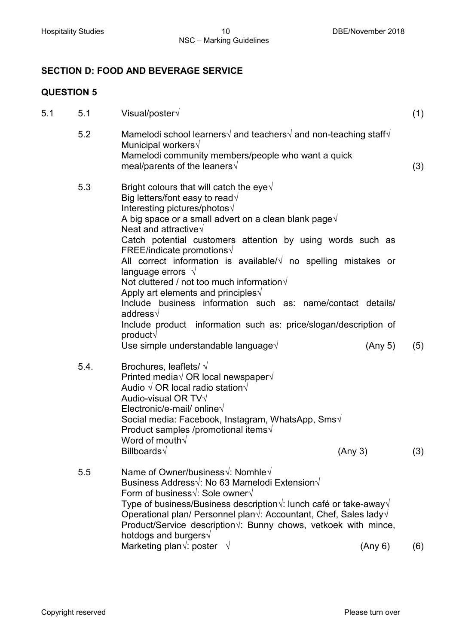### **SECTION D: FOOD AND BEVERAGE SERVICE**

# **QUESTION 5**

| 5.1 | 5.1  | Visual/poster $\sqrt{ }$                                                                                                                                                                                                                                                                                                                                                                                                                                                                                                                                                                                                                                                                                          | (1) |
|-----|------|-------------------------------------------------------------------------------------------------------------------------------------------------------------------------------------------------------------------------------------------------------------------------------------------------------------------------------------------------------------------------------------------------------------------------------------------------------------------------------------------------------------------------------------------------------------------------------------------------------------------------------------------------------------------------------------------------------------------|-----|
|     | 5.2  | Mamelodi school learners $\sqrt{ }$ and teachers $\sqrt{ }$ and non-teaching staff $\sqrt{ }$<br>Municipal workers√<br>Mamelodi community members/people who want a quick<br>meal/parents of the leaners $\sqrt{ }$                                                                                                                                                                                                                                                                                                                                                                                                                                                                                               | (3) |
|     | 5.3  | Bright colours that will catch the eye $\sqrt{ }$<br>Big letters/font easy to read $\sqrt{}$<br>Interesting pictures/photos√<br>A big space or a small advert on a clean blank page $\sqrt{ }$<br>Neat and attractive $\sqrt{ }$<br>Catch potential customers attention by using words such as<br>FREE/indicate promotions√<br>All correct information is available/ $\sqrt{ }$ no spelling mistakes or<br>language errors $\sqrt{ }$<br>Not cluttered / not too much information $\sqrt{ }$<br>Apply art elements and principles $\sqrt{ }$<br>Include business information such as: name/contact details/<br>address $\sqrt{ }$<br>Include product information such as: price/slogan/description of<br>product√ |     |
|     |      | Use simple understandable language $\sqrt{ }$<br>(Any 5)                                                                                                                                                                                                                                                                                                                                                                                                                                                                                                                                                                                                                                                          | (5) |
|     | 5.4. | Brochures, leaflets/ $\sqrt{}$<br>Printed media $\sqrt{OR}$ local newspaper $\sqrt{}$<br>Audio $\sqrt{OR}$ local radio station $\sqrt{}$<br>Audio-visual OR TV $\sqrt{}$<br>Electronic/e-mail/ online $\sqrt$<br>Social media: Facebook, Instagram, WhatsApp, Sms $\sqrt{ }$<br>Product samples /promotional items $\sqrt$<br>Word of mouth $\sqrt{ }$<br>Billboards√<br>(Any 3)                                                                                                                                                                                                                                                                                                                                  | (3) |
|     | 5.5  | Name of Owner/business√: Nomhle√<br>Business Address√: No 63 Mamelodi Extension√<br>Form of business√: Sole owner V<br>Type of business/Business description $\sqrt{ }$ : lunch café or take-away $\sqrt{ }$<br>Operational plan/ Personnel plan $\sqrt{ }$ : Accountant, Chef, Sales lady $\sqrt{ }$<br>Product/Service description $\sqrt{ }$ . Bunny chows, vetkoek with mince,<br>hotdogs and burgers $\sqrt{ }$<br>Marketing plan $\sqrt{ }$ : poster $\sqrt{ }$<br>(Any 6)                                                                                                                                                                                                                                  | (6) |
|     |      |                                                                                                                                                                                                                                                                                                                                                                                                                                                                                                                                                                                                                                                                                                                   |     |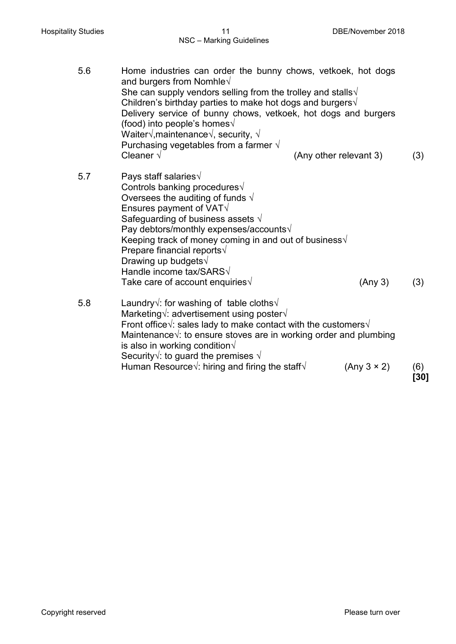| 5.6 | Home industries can order the bunny chows, vetkoek, hot dogs<br>and burgers from Nomhle $\sqrt{}$<br>She can supply vendors selling from the trolley and stalls $\sqrt{ }$<br>Children's birthday parties to make hot dogs and burgers $\sqrt{ }$<br>Delivery service of bunny chows, vetkoek, hot dogs and burgers<br>(food) into people's homes $\sqrt{ }$<br>Waiter $\sqrt{ }$ , maintenance $\sqrt{ }$ , security, $\sqrt{ }$<br>Purchasing vegetables from a farmer $\sqrt{ }$ |                        |             |
|-----|-------------------------------------------------------------------------------------------------------------------------------------------------------------------------------------------------------------------------------------------------------------------------------------------------------------------------------------------------------------------------------------------------------------------------------------------------------------------------------------|------------------------|-------------|
|     | Cleaner $\sqrt{ }$                                                                                                                                                                                                                                                                                                                                                                                                                                                                  | (Any other relevant 3) | (3)         |
| 5.7 | Pays staff salaries $\sqrt{ }$<br>Controls banking procedures√<br>Oversees the auditing of funds $\sqrt{ }$<br>Ensures payment of VAT $\sqrt$<br>Safeguarding of business assets $\sqrt{ }$<br>Pay debtors/monthly expenses/accounts√<br>Keeping track of money coming in and out of business $\sqrt{ }$<br>Prepare financial reports√<br>Drawing up budgets $\sqrt$<br>Handle income tax/SARS√<br>Take care of account enquiries $\sqrt{ }$                                        | (Any 3)                | (3)         |
| 5.8 | Laundry $\sqrt{ }$ : for washing of table cloths $\sqrt{ }$<br>Marketing $\sqrt{ }$ : advertisement using poster $\sqrt{ }$<br>Front office $\sqrt{ }$ : sales lady to make contact with the customers $\sqrt{ }$<br>Maintenance $\sqrt{ }$ : to ensure stoves are in working order and plumbing<br>is also in working condition $\sqrt{ }$<br>Security $\sqrt{ }$ : to guard the premises $\sqrt{ }$                                                                               |                        |             |
|     | Human Resource $\sqrt{ }$ : hiring and firing the staff $\sqrt{ }$                                                                                                                                                                                                                                                                                                                                                                                                                  | (Any 3 × 2)            | (6)<br>[30] |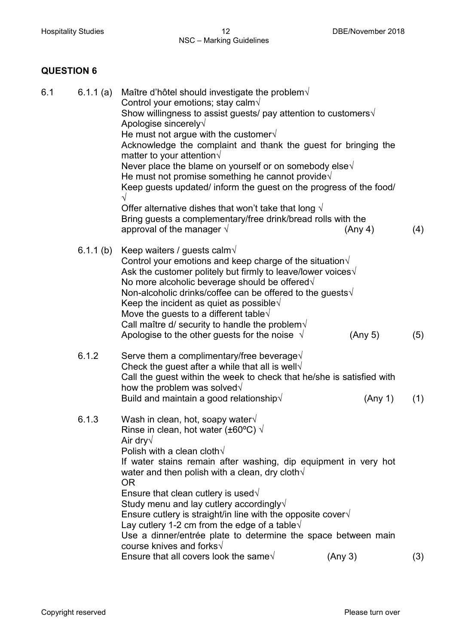#### Hospitality Studies **12** Mospitality Studies **12** DBE/November 2018 NSC – Marking Guidelines

# **QUESTION 6**

| 6.1 | 6.1.1 $(a)$                                               | Maître d'hôtel should investigate the problem $\sqrt{ }$<br>Control your emotions; stay calm $\sqrt{ }$<br>Show willingness to assist guests/ pay attention to customers $\sqrt{ }$ |         |     |  |
|-----|-----------------------------------------------------------|-------------------------------------------------------------------------------------------------------------------------------------------------------------------------------------|---------|-----|--|
|     |                                                           | Apologise sincerely $\sqrt{}$                                                                                                                                                       |         |     |  |
|     |                                                           | He must not argue with the customer $\sqrt{ }$                                                                                                                                      |         |     |  |
|     |                                                           | Acknowledge the complaint and thank the guest for bringing the<br>matter to your attention $\sqrt{ }$                                                                               |         |     |  |
|     |                                                           | Never place the blame on yourself or on somebody else $\sqrt{ }$                                                                                                                    |         |     |  |
|     |                                                           | He must not promise something he cannot provide $\sqrt{ }$                                                                                                                          |         |     |  |
|     |                                                           | Keep guests updated/ inform the guest on the progress of the food/<br>√                                                                                                             |         |     |  |
|     |                                                           | Offer alternative dishes that won't take that long $\sqrt{ }$<br>Bring guests a complementary/free drink/bread rolls with the<br>approval of the manager $\sqrt{ }$                 |         |     |  |
|     |                                                           |                                                                                                                                                                                     | (Any 4) | (4) |  |
|     | 6.1.1 $(b)$                                               | Keep waiters / guests calm $\sqrt$<br>Control your emotions and keep charge of the situation $\sqrt{ }$                                                                             |         |     |  |
|     |                                                           | Ask the customer politely but firmly to leave/lower voices $\sqrt{ }$<br>No more alcoholic beverage should be offered $\sqrt{ }$                                                    |         |     |  |
|     |                                                           | Non-alcoholic drinks/coffee can be offered to the guests $\sqrt{ }$                                                                                                                 |         |     |  |
|     |                                                           | Keep the incident as quiet as possible $\sqrt{ }$                                                                                                                                   |         |     |  |
|     |                                                           | Move the guests to a different table $\sqrt{ }$                                                                                                                                     |         |     |  |
|     |                                                           | Call maître d/ security to handle the problem $\sqrt{ }$                                                                                                                            |         |     |  |
|     |                                                           | Apologise to the other guests for the noise $\sqrt{ }$                                                                                                                              | (Any 5) | (5) |  |
|     | 6.1.2                                                     | Serve them a complimentary/free beverage $\sqrt{ }$                                                                                                                                 |         |     |  |
|     | Check the guest after a while that all is well $\sqrt{ }$ |                                                                                                                                                                                     |         |     |  |
|     |                                                           | Call the guest within the week to check that he/she is satisfied with                                                                                                               |         |     |  |
|     |                                                           | how the problem was solved $\sqrt{}$<br>Build and maintain a good relationship $\sqrt{ }$                                                                                           |         |     |  |
|     |                                                           |                                                                                                                                                                                     | (Any 1) | (1) |  |
|     | 6.1.3                                                     | Wash in clean, hot, soapy water $\sqrt{ }$                                                                                                                                          |         |     |  |
|     |                                                           | Rinse in clean, hot water (±60 $\degree$ C) $\sqrt{ }$                                                                                                                              |         |     |  |
|     |                                                           | Air dry $\sqrt$                                                                                                                                                                     |         |     |  |
|     |                                                           | Polish with a clean cloth $\sqrt{}$                                                                                                                                                 |         |     |  |
|     |                                                           | If water stains remain after washing, dip equipment in very hot<br>water and then polish with a clean, dry cloth $\sqrt{ }$                                                         |         |     |  |
|     |                                                           | <b>OR</b>                                                                                                                                                                           |         |     |  |
|     |                                                           | Ensure that clean cutlery is used $\sqrt{ }$                                                                                                                                        |         |     |  |
|     |                                                           | Study menu and lay cutlery accordingly $\sqrt{}$                                                                                                                                    |         |     |  |
|     |                                                           | Ensure cutlery is straight/in line with the opposite cover $\sqrt{ }$<br>Lay cutlery 1-2 cm from the edge of a table $\sqrt{ }$                                                     |         |     |  |
|     |                                                           | Use a dinner/entrée plate to determine the space between main                                                                                                                       |         |     |  |
|     |                                                           | course knives and forks $\sqrt{ }$                                                                                                                                                  |         |     |  |
|     |                                                           | Ensure that all covers look the same $\sqrt{ }$                                                                                                                                     | (Any 3) | (3) |  |